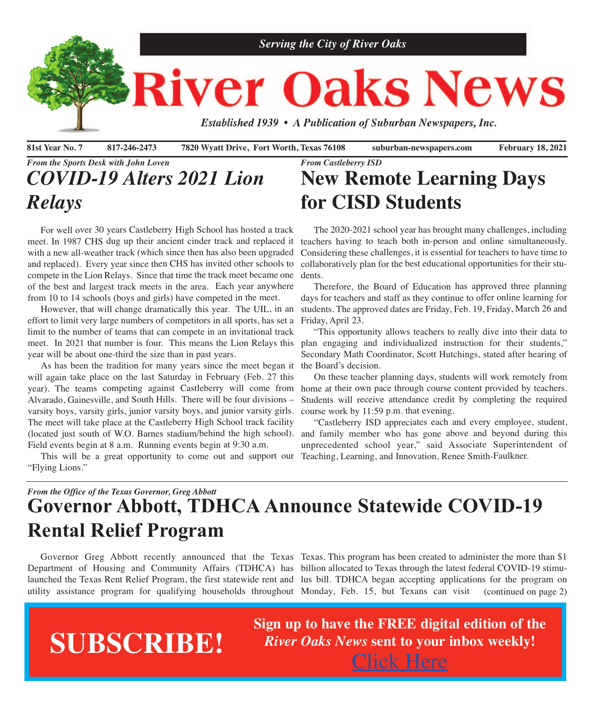

**81st Year No. 7 817-246-2473 7820 Wyatt Drive, Fort Worth, Texas 76108 suburban-newspapers.com February 18, 2021**

# *From the Sports Desk with John Loven COVID-19 Alters 2021 Lion Relays*

For well over 30 years Castleberry High School has hosted <sup>a</sup> track meet. In 1987 CHS dug up their ancient cinder track and replaced it teachers having to teach both in-person and online simultaneously. with <sup>a</sup> new all-weather track (which since then has also been upgraded and replaced). Every year since then CHS has invited other schools to compete in the Lion Relays. Since that time the track meet became one of the best and largest track meets in the area. Each year anywhere from 10 to 14 schools (boys and girls) have competed in the meet.

However, that will change dramatically this year. The UIL, in an effort to limit very large numbers of competitors in all sports, has set <sup>a</sup> limit to the number of teams that can compete in an invitational track meet. In 2021 that number is four. This means the Lion Relays this year will be about one-third the size than in pas<sup>t</sup> years.

As has been the tradition for many years since the meet began it will again take place on the last Saturday in February (Feb. 27 this year). The teams competing against Castleberry will come from home at their own pace through course content provided by teachers. Alvarado, Gainesville, and South Hills. There will be four divisions – varsity boys, varsity girls, junior varsity boys, and junior varsity girls. The meet will take place at the Castleberry High School track facility (located just south of W.O. Barnes stadium/behind the high school). Field events begin at 8 a.m. Running events begin at 9:30 a.m.

This will be <sup>a</sup> grea<sup>t</sup> opportunity to come out and suppor<sup>t</sup> our Teaching, Learning, and Innovation, Renee Smith-Faulkner. "Flying Lions."

# *From Castleberry ISD* **New Remote Learning Days for CISD Students**

The 2020-2021 school year has brought many challenges, including Considering these challenges, it is essential for teachers to have time to collaboratively plan for the best educational opportunities for their students.

Therefore, the Board of Education has approved three planning days for teachers and staff as they continue to offer online learning for students. The approved dates are Friday, Feb. 19, Friday, March 26 and Friday, April 23.

"This opportunity allows teachers to really dive into their data to plan engaging and individualized instruction for their students," Secondary Math Coordinator, Scott Hutchings, stated after hearing of the Board's decision.

On these teacher planning days, students will work remotely from Students will receive attendance credit by completing the required course work by 11:59 p.m. that evening.

"Castleberry ISD appreciates each and every employee, student, and family member who has gone above and beyond during this unprecedented school year," said Associate Superintendent of

# *From the Office of the Texas Governor, Greg Abbott* **Governor Abbott, TDHCA Announce Statewide COVID-19 Rental Relief Program**

Department of Housing and Community Affairs (TDHCA) has billion allocated to Texas through the latest federal COVID-19 stimulaunched the Texas Rent Relief Program, the first statewide rent and lus bill. TDHCA began accepting applications for the program on

**SUBSCRIBE!**

 Governor Greg Abbott recently announced that the Texas Texas. This program has been created to administer the more than \$1 utility assistance program for qualifying households throughout Monday, Feb. 15, but Texans can visit (continued on page 2)

> **Sign up to have the FREE digital edition of the** *River Oaks News* **sent to your inbox weekly!** [Click](http://eepurl.com/g3m8OX) Here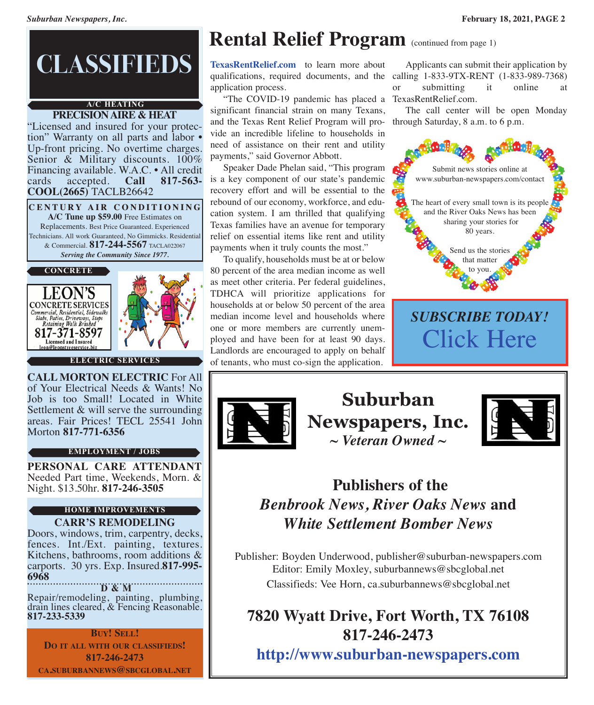# **CLASSIFIEDS**

# **A/C HEATING**

**PRECISION AIRE & HEAT**<br>
"Licensed and insured for your protec-"Licensed and insured for your protection" Warranty on all parts and labor • Up-front pricing. No overtime charges.<br>Senior & Military discounts. 100% Financing available. W.A.C. • All credit cards accepted. **Call 817-563- COOL(2665)** TACLB26642

**C E N T U R Y A I R C O N D I T I O N I N G A/C Tune up \$59.00** Free Estimates on Replacements. Best Price Guaranteed. Experienced Technicians. All work Guaranteed, No Gimmicks. Residential & Commercial. **817-244-5567** TACLA022067 *Serving the Community Since 1977.*



**ELECTRIC SERVICES**

**CALL MORTON ELECTRIC** For All of Your Electrical Needs & Wants! No Job is too Small! Located in White Settlement & will serve the surrounding areas. Fair Prices! TECL 25541 John Morton **817-771-6356**

## **EMPLOYMENT / JOBS**

**PERSONAL CARE ATTENDANT** Needed Part time, Weekends, Morn. & Night. \$13.50hr. **817-246-3505**

## **HOME IMPROVEMENTS**

**CARR'S REMODELING** Doors, windows, trim, carpentry, decks, fences. Int./Ext. painting, textures. Kitchens, bathrooms, room additions & carports. 30 yrs. Exp. Insured.**817-995- 6968**

**D & M**

Repair/remodeling, painting, plumbing, drain lines cleared, & Fencing Reasonable. **817-233-5339**

**BUY! SELL! DO IT ALL WITH OUR CLASSIFIEDS! 817-246-2473 CA.SUBURBANNEWS@SBCGLOBAL.NET**

# **Rental Relief Program** (continued from page 1)

**<TexasRentRelief.com>** to learn more about qualifications, required documents, and the calling 1-833-9TX-RENT (1-833-989-7368) application process.

 "The COVID-19 pandemic has placed a TexasRentRelief.com. significant financial strain on many Texans, and the Texas Rent Relief Program will pro-through Saturday, 8 a.m. to 6 p.m.vide an incredible lifeline to households in need of assistance on their rent and utility payments," said Governor Abbott.

 Speaker Dade Phelan said, "This program is a key component of our state's pandemic recovery effort and will be essential to the rebound of our economy, workforce, and education system. I am thrilled that qualifying Texas families have an avenue for temporary relief on essential items like rent and utility payments when it truly counts the most."

 To qualify, households must be at or below 80 percent of the area median income as well as meet other criteria. Per federal guidelines, TDHCA will prioritize applications for households at or below 50 percent of the area median income level and households where one or more members are currently unemployed and have been for at least 90 days. Landlords are encouraged to apply on behalf of tenants, who must co-sign the application.

 Applicants can submit their application by or submitting it online at

The call center will be open Monday



# *SUBSCRIBE TODAY!* [Click](http://eepurl.com/g3m8OX) Here



**Suburban Newspapers, Inc.** *~ Veteran Owned ~*



# **Publishers of the** *Benbrook News, River Oaks News* **and** *White Settlement Bomber News*

Publisher: Boyden Underwood, publisher@suburban-newspapers.com Editor: Emily Moxley, suburbannews@sbcglobal.net Classifieds: Vee Horn, ca.suburbannews@sbcglobal.net

# **7820 Wyatt Drive, Fort Worth, TX 76108 817-246-2473**

**<http://www.suburban-newspapers.com>**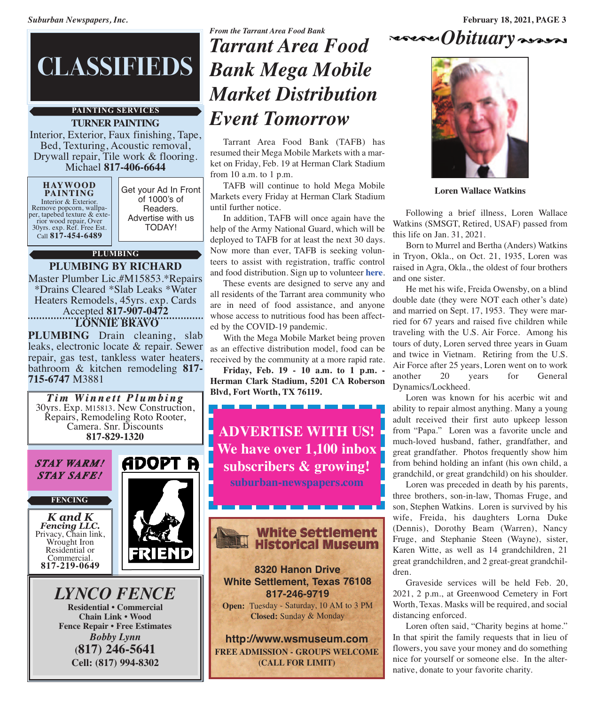*Suburban Newspapers, Inc.* **February 18, 2021, PAGE 3**



# **CLASSIFIEDS**

# **PAINTING SERVICES**

## **TURNER PAINTING**

Interior, Exterior, Faux finishing, Tape,<br>Bed, Texturing, Acoustic removal,<br>Drywall repair, Tile work & flooring.<br>Michael **817-406-6644** 

**HAYWOOD PAINTING**<br>Interior & Exterior. Remove popcorn, wallpa-<br>per, tapebed texture & exteori, approved texture to extract<br>rior wood repair, Over<br>30yrs. exp. Ref. Free Est. Call **817-454-6489**

Get your Ad In Front of 1000's of Readers. Advertise with us TODAY!

# **PLUMBING**

**PLUMBING BY RICHARD** Master Plumber Lic.#M15853.\*Repairs \*Drains Cleared \*Slab Leaks \*Water Heaters Remodels, 45yrs. exp. Cards Accepted **817-907-0472 LONNIE BRAVO**

**PLUMBING** Drain cleaning, slab leaks, electronic locate & repair. Sewer repair, gas test, tankless water heaters, bathroom & kitchen remodeling **817- 715-6747** M3881

*Ti m Wi n n e t t P l u m b i n g* 30yrs. Exp. M15813. New Construction, Repairs, Remodeling Roto Rooter, Camera. Snr. Discounts **817-829-1320**



*LYNCO FENCE* **Residential • Commercial Chain Link • Wood Fence Repair • Free Estimates** *Bobby Lynn* **(817) 246-5641 Cell: (817) 994-8302**

# *From the Tarrant Area Food Bank Tarrant Area Food Bank Mega Mobile Market Distribution Event Tomorrow*

 Tarrant Area Food Bank (TAFB) has resumed their Mega Mobile Markets with a market on Friday, Feb. 19 at Herman Clark Stadium from 10 a.m. to 1 p.m.

 TAFB will continue to hold Mega Mobile Markets every Friday at Herman Clark Stadium until further notice.

 In addition, TAFB will once again have the help of the Army National Guard, which will be deployed to TAFB for at least the next 30 days. Now more than ever, TAFB is seeking volunteers to assist with registration, traffic control and food distribution. Sign up to volunteer **[here](https://tafb.galaxydigital.com)**.

 These events are designed to serve any and all residents of the Tarrant area community who are in need of food assistance, and anyone whose access to nutritious food has been affected by the COVID-19 pandemic.

 With the Mega Mobile Market being proven as an effective distribution model, food can be received by the community at a more rapid rate.

 **Friday, Feb. 19 - 10 a.m. to 1 p.m. - Herman Clark Stadium, 5201 CA Roberson Blvd, Fort Worth, TX 76119.**





**Loren Wallace Watkins**

 Following a brief illness, Loren Wallace Watkins (SMSGT, Retired, USAF) passed from this life on Jan. 31, 2021.

 Born to Murrel and Bertha (Anders) Watkins in Tryon, Okla., on Oct. 21, 1935, Loren was raised in Agra, Okla., the oldest of four brothers and one sister.

 He met his wife, Freida Owensby, on a blind double date (they were NOT each other's date) and married on Sept. 17, 1953. They were married for 67 years and raised five children while traveling with the U.S. Air Force. Among his tours of duty, Loren served three years in Guam and twice in Vietnam. Retiring from the U.S. Air Force after 25 years, Loren went on to work another 20 years for General Dynamics/Lockheed.

 Loren was known for his acerbic wit and ability to repair almost anything. Many a young adult received their first auto upkeep lesson from "Papa." Loren was a favorite uncle and much-loved husband, father, grandfather, and great grandfather. Photos frequently show him from behind holding an infant (his own child, a grandchild, or great grandchild) on his shoulder.

 Loren was preceded in death by his parents, three brothers, son-in-law, Thomas Fruge, and son, Stephen Watkins. Loren is survived by his wife, Freida, his daughters Lorna Duke (Dennis), Dorothy Beam (Warren), Nancy Fruge, and Stephanie Steen (Wayne), sister, Karen Witte, as well as 14 grandchildren, 21 great grandchildren, and 2 great-great grandchildren.

 Graveside services will be held Feb. 20, 2021, 2 p.m., at Greenwood Cemetery in Fort Worth, Texas. Masks will be required, and social distancing enforced.

 Loren often said, "Charity begins at home." In that spirit the family requests that in lieu of flowers, you save your money and do something nice for yourself or someone else. In the alternative, donate to your favorite charity.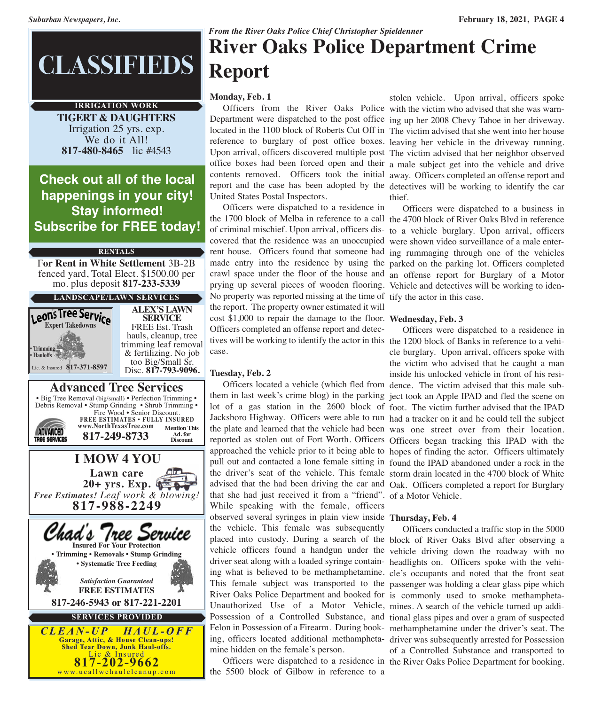# **CLASSIFIEDS**

**TIGERT & DAUGHTERS** Irrigation <sup>25</sup> yrs. exp. We do it All! **817-480-8465** lic #4543 **IRRIGATION WORK**

**Check out all of the local happenings in your city! Stay informed! Subscribe for FREE today!**

## **RENTALS**

F**or Rent in White Settlement** 3B-2B fenced yard, Total Elect. \$1500.00 per mo. plus deposit **817-233-5339**

**LANDSCAPE/LAWN SERVICES**



**SERVICE** FREE Est. Trash hauls, cleanup, tree trimming leaf removal & fertilizing. No job too Big/Small Sr. Disc. **817-793-9096.**



# *From the River Oaks Police Chief Christopher Spieldenner* **River Oaks Police Department Crime Report**

## **Monday, Feb. 1**

 Officers from the River Oaks Police with the victim who advised that she was warn-Department were dispatched to the post office ing up her 2008 Chevy Tahoe in her driveway. located in the 1100 block of Roberts Cut Off in The victim advised that she went into her house reference to burglary of post office boxes. leaving her vehicle in the driveway running. Upon arrival, officers discovered multiple post The victim advised that her neighbor observed office boxes had been forced open and their a male subject get into the vehicle and drive contents removed. Officers took the initial away. Officers completed an offense report and report and the case has been adopted by the detectives will be working to identify the car United States Postal Inspectors.

 Officers were dispatched to a residence in the 1700 block of Melba in reference to a call the 4700 block of River Oaks Blvd in reference of criminal mischief. Upon arrival, officers dis-to a vehicle burglary. Upon arrival, officers covered that the residence was an unoccupied were shown video surveillance of a male enterrent house. Officers found that someone had ing rummaging through one of the vehicles made entry into the residence by using the parked on the parking lot. Officers completed crawl space under the floor of the house and an offense report for Burglary of a Motor prying up several pieces of wooden flooring. Vehicle and detectives will be working to iden-No property was reported missing at the time of tify the actor in this case. the report. The property owner estimated it will cost \$1,000 to repair the damage to the floor. **Wednesday, Feb. 3** Officers completed an offense report and detectives will be working to identify the actor in this the 1200 block of Banks in reference to a vehicase.

## **Tuesday, Feb. 2**

 Officers located a vehicle (which fled from dence. The victim advised that this male subthem in last week's crime blog) in the parking ject took an Apple IPAD and fled the scene on lot of a gas station in the 2600 block of foot. The victim further advised that the IPAD Jacksboro Highway. Officers were able to run had a tracker on it and he could tell the subject the plate and learned that the vehicle had been was one street over from their location. reported as stolen out of Fort Worth. Officers Officers began tracking this IPAD with the approached the vehicle prior to it being able to hopes of finding the actor. Officers ultimately pull out and contacted a lone female sitting in found the IPAD abandoned under a rock in the the driver's seat of the vehicle. This female storm drain located in the 4700 block of White advised that the had been driving the car and Oak. Officers completed a report for Burglary that she had just received it from a "friend". of a Motor Vehicle. While speaking with the female, officers observed several syringes in plain view inside **Thursday, Feb. 4** the vehicle. This female was subsequently placed into custody. During a search of the block of River Oaks Blvd after observing a vehicle officers found a handgun under the vehicle driving down the roadway with no driver seat along with a loaded syringe contain-headlights on. Officers spoke with the vehiing what is believed to be methamphetamine. cle's occupants and noted that the front seat This female subject was transported to the passenger was holding a clear glass pipe which River Oaks Police Department and booked for is commonly used to smoke methampheta-Unauthorized Use of a Motor Vehicle, mines. A search of the vehicle turned up addi-Possession of a Controlled Substance, and tional glass pipes and over a gram of suspected Felon in Possession of a Firearm. During book-methamphetamine under the driver's seat. The ing, officers located additional methampheta-driver was subsequently arrested for Possession mine hidden on the female's person.

 Officers were dispatched to a residence in the River Oaks Police Department for booking. the 5500 block of Gilbow in reference to a

stolen vehicle. Upon arrival, officers spoke thief.

Officers were dispatched to a business in

 Officers were dispatched to a residence in cle burglary. Upon arrival, officers spoke with the victim who advised that he caught a man inside his unlocked vehicle in front of his resi-

 Officers conducted a traffic stop in the 5000 of a Controlled Substance and transported to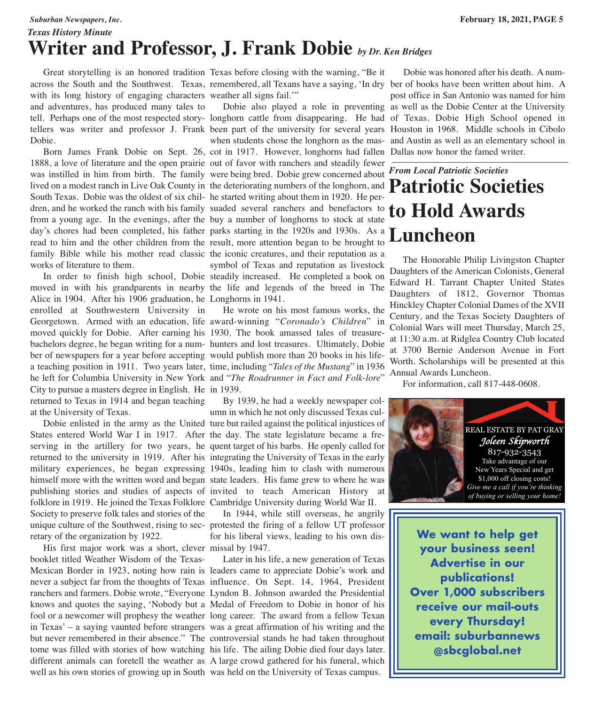# *Suburban Newspapers, Inc.* **February 18, 2021, PAGE 5** *Texas History Minute* **Writer and Professor, J. Frank Dobie** *by Dr. Ken Bridges*

with its long history of engaging characters weather all signs fail.'" and adventures, has produced many tales to Dobie.

 Born James Frank Dobie on Sept. 26, cot in 1917. However, longhorns had fallen Dallas now honor the famed writer. 1888, a love of literature and the open prairie out of favor with ranchers and steadily fewer was instilled in him from birth. The family were being bred. Dobie grew concerned about *From Local Patriotic Societies* lived on a modest ranch in Live Oak County in the deteriorating numbers of the longhorn, and **Patriotic Societies** South Texas. Dobie was the oldest of six chil-he started writing about them in 1920. He perdren, and he worked the ranch with his family suaded several ranchers and benefactors to **to Hold Awards** from a young age. In the evenings, after the buy a number of longhorns to stock at state day's chores had been completed, his father parks starting in the 1920s and 1930s. As a read to him and the other children from the result, more attention began to be brought to family Bible while his mother read classic the iconic creatures, and their reputation as a works of literature to them.

Alice in 1904. After his 1906 graduation, he Longhorns in 1941. enrolled at Southwestern University in Georgetown. Armed with an education, life award-winning "*Coronado's Children*" in moved quickly for Dobie. After earning his 1930. The book amassed tales of treasurebachelors degree, he began writing for a num-hunters and lost treasures. Ultimately, Dobie ber of newspapers for a year before accepting would publish more than 20 books in his lifea teaching position in 1911. Two years later, time, including "*Tales of the Mustang*" in 1936 he left for Columbia University in New York and "*The Roadrunner in Fact and Folk-lore*" City to pursue a masters degree in English. He in 1939. returned to Texas in 1914 and began teaching at the University of Texas.

folklore in 1919. He joined the Texas Folklore Cambridge University during World War II. Society to preserve folk tales and stories of the retary of the organization by 1922.

 His first major work was a short, clever missal by 1947. booklet titled Weather Wisdom of the Texas-Mexican Border in 1923, noting how rain is leaders came to appreciate Dobie's work and never a subject far from the thoughts of Texas influence. On Sept. 14, 1964, President ranchers and farmers. Dobie wrote, "Everyone Lyndon B. Johnson awarded the Presidential knows and quotes the saying, 'Nobody but a Medal of Freedom to Dobie in honor of his fool or a newcomer will prophesy the weather long career. The award from a fellow Texan in Texas' – a saying vaunted before strangers was a great affirmation of his writing and the but never remembered in their absence." The controversial stands he had taken throughout tome was filled with stories of how watching his life. The ailing Dobie died four days later. different animals can foretell the weather as A large crowd gathered for his funeral, which well as his own stories of growing up in South was held on the University of Texas campus.

 Great storytelling is an honored tradition Texas before closing with the warning, "Be it across the South and the Southwest. Texas, remembered, all Texans have a saying, 'In dry ber of books have been written about him. A

tell. Perhaps one of the most respected story-longhorn cattle from disappearing. He had of Texas. Dobie High School opened in tellers was writer and professor J. Frank been part of the university for several years Houston in 1968. Middle schools in Cibolo Dobie also played a role in preventing as well as the Dobie Center at the University

 In order to finish high school, Dobie steadily increased. He completed a book on moved in with his grandparents in nearby the life and legends of the breed in The symbol of Texas and reputation as livestock

He wrote on his most famous works, the

 Dobie enlisted in the army as the United ture but railed against the political injustices of States entered World War I in 1917. After the day. The state legislature became a freserving in the artillery for two years, he quent target of his barbs. He openly called for returned to the university in 1919. After his integrating the University of Texas in the early military experiences, he began expressing 1940s, leading him to clash with numerous himself more with the written word and began state leaders. His fame grew to where he was publishing stories and studies of aspects of invited to teach American History at By 1939, he had a weekly newspaper column in which he not only discussed Texas cul-

unique culture of the Southwest, rising to sec-protested the firing of a fellow UT professor In 1944, while still overseas, he angrily for his liberal views, leading to his own dis-

Later in his life, a new generation of Texas

when students chose the longhorn as the mas-and Austin as well as an elementary school in Dobie was honored after his death. A numpost office in San Antonio was named for him

# **Luncheon**

 The Honorable Philip Livingston Chapter Daughters of the American Colonists, General Edward H. Tarrant Chapter United States Daughters of 1812, Governor Thomas Hinckley Chapter Colonial Dames of the XVII Century, and the Texas Society Daughters of Colonial Wars will meet Thursday, March 25, at 11:30 a.m. at Ridglea Country Club located at 3700 Bernie Anderson Avenue in Fort Worth. Scholarships will be presented at this Annual Awards Luncheon.

For information, call 817-448-0608.



**We want to help get your business seen! Advertise in our publications! Over 1,000 subscribers receive our mail-outs every Thursday! email: [suburbannews](http://www.suburban-newspapers.com/contact.html) [@sbcglobal.net](http://www.suburban-newspapers.com/contact.html)**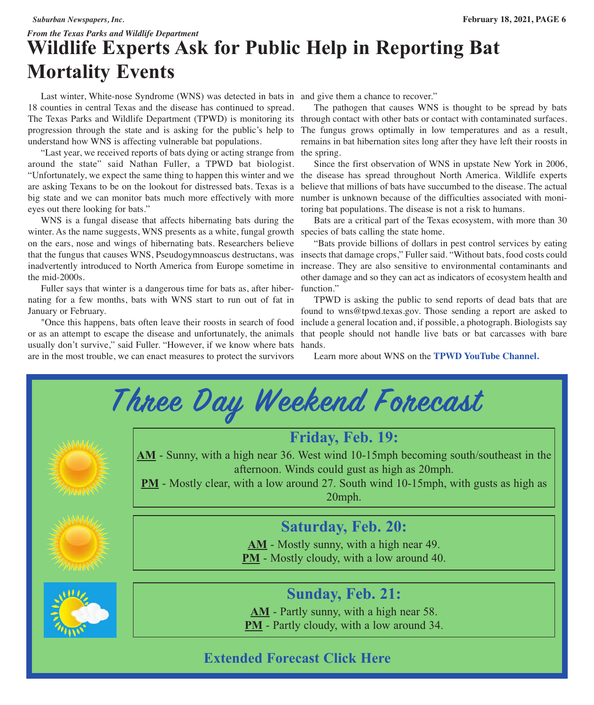# *From the Texas Parks and Wildlife Department* **Wildlife Experts Ask for Public Help in Reporting Bat Mortality Events**

Last winter, White-nose Syndrome (WNS) was detected in bats in and give them a chance to recover." 18 counties in central Texas and the disease has continued to spread. The Texas Parks and Wildlife Department (TPWD) is monitoring its through contact with other bats or contact with contaminated surfaces. progression through the state and is asking for the public's help to understand how WNS is affecting vulnerable bat populations.

 "Last year, we received reports of bats dying or acting strange from the spring. around the state" said Nathan Fuller, a TPWD bat biologist. "Unfortunately, we expect the same thing to happen this winter and we the disease has spread throughout North America. Wildlife experts are asking Texans to be on the lookout for distressed bats. Texas is a big state and we can monitor bats much more effectively with more eyes out there looking for bats."

 WNS is a fungal disease that affects hibernating bats during the winter. As the name suggests, WNS presents as a white, fungal growth on the ears, nose and wings of hibernating bats. Researchers believe that the fungus that causes WNS, Pseudogymnoascus destructans, was insects that damage crops," Fuller said. "Without bats, food costs could inadvertently introduced to North America from Europe sometime in the mid-2000s.

 Fuller says that winter is a dangerous time for bats as, after hibernating for a few months, bats with WNS start to run out of fat in January or February.

 "Once this happens, bats often leave their roosts in search of food or as an attempt to escape the disease and unfortunately, the animals usually don't survive," said Fuller. "However, if we know where bats are in the most trouble, we can enact measures to protect the survivors

 The pathogen that causes WNS is thought to be spread by bats The fungus grows optimally in low temperatures and as a result, remains in bat hibernation sites long after they have left their roosts in

 Since the first observation of WNS in upstate New York in 2006, believe that millions of bats have succumbed to the disease. The actual number is unknown because of the difficulties associated with monitoring bat populations. The disease is not a risk to humans.

 Bats are a critical part of the Texas ecosystem, with more than 30 species of bats calling the state home.

 "Bats provide billions of dollars in pest control services by eating increase. They are also sensitive to environmental contaminants and other damage and so they can act as indicators of ecosystem health and function."

 TPWD is asking the public to send reports of dead bats that are found to wns@tpwd.texas.gov. Those sending a report are asked to include a general location and, if possible, a photograph. Biologists say that people should not handle live bats or bat carcasses with bare hands.

Learn more about WNS on the **TPWD YouTube [Channel.](https://youtu.be/JXiCd8kn6P8)**

**Three Day Weekend Forecast Friday, Feb. 19: AM** - Sunny, with a high near 36. West wind 10-15mph becoming south/southeast in the afternoon. Winds could gust as high as 20mph. **PM** - Mostly clear, with a low around 27. South wind 10-15mph, with gusts as high as 20mph. **Saturday, Feb. 20: AM** - Mostly sunny, with a high near 49. **PM** - Mostly cloudy, with a low around 40. **Sunday, Feb. 21: AM** - Partly sunny, with a high near 58. **PM** - Partly cloudy, with a low around 34.

# **Extended Forecast [Click](https://forecast.weather.gov) Here**